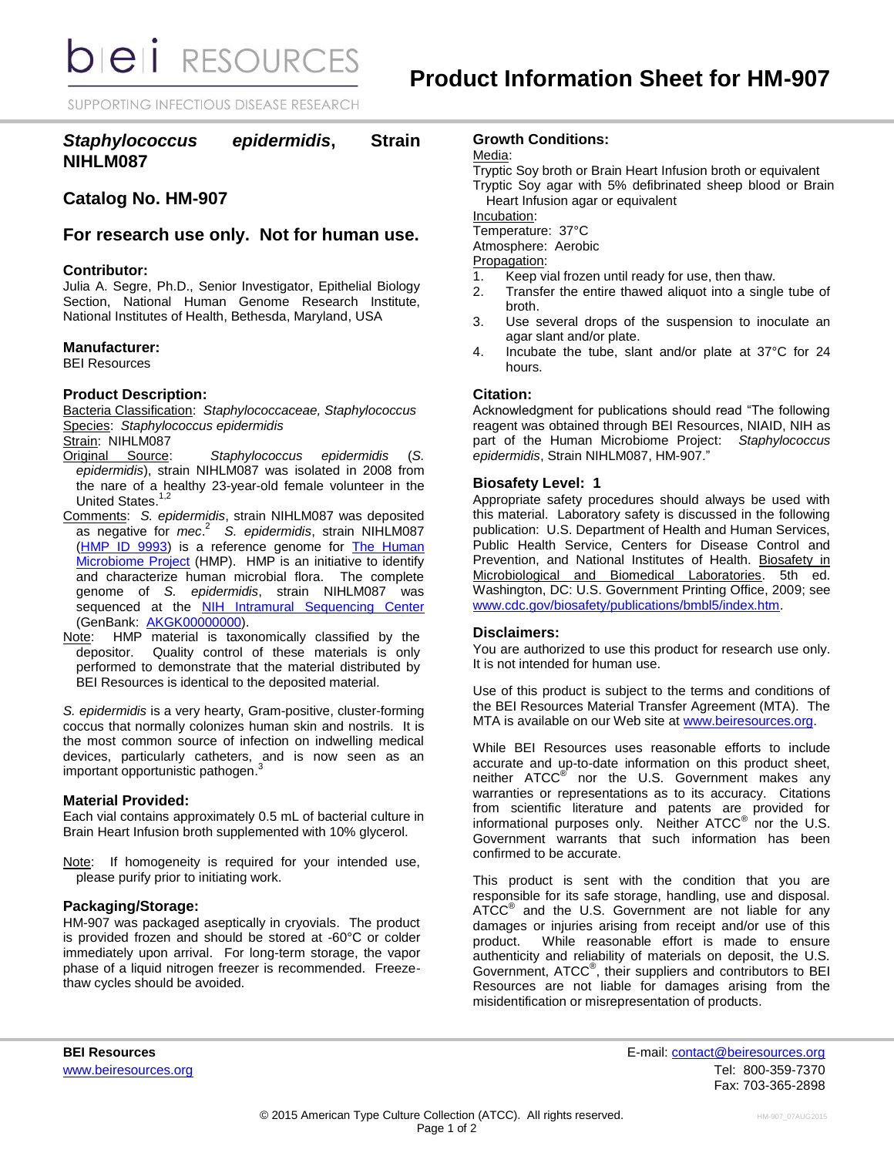**bieli** RESOURCES

SUPPORTING INFECTIOUS DISEASE RESEARCH

# *Staphylococcus epidermidis***, Strain NIHLM087**

# **Catalog No. HM-907**

# **For research use only. Not for human use.**

### **Contributor:**

Julia A. Segre, Ph.D., Senior Investigator, Epithelial Biology Section, National Human Genome Research Institute, National Institutes of Health, Bethesda, Maryland, USA

### **Manufacturer:**

BEI Resources

# **Product Description:**

Bacteria Classification: *Staphylococcaceae, Staphylococcus* Species: *Staphylococcus epidermidis*

Strain: NIHLM087<br>Original Source:

- Staphylococcus epidermidis (S. *epidermidis*), strain NIHLM087 was isolated in 2008 from the nare of a healthy 23-year-old female volunteer in the United States.<sup>1,2</sup>
- Comments: *S. epidermidis*, strain NIHLM087 was deposited as negative for *mec*. 2 *S. epidermidis*, strain NIHLM087 [\(HMP ID 9993\)](http://www.hmpdacc.org/catalog/grid.php?dataset=genomic&hmp_id=9993) is a reference genome for The Human [Microbiome Project](http://nihroadmap.nih.gov/hmp/) (HMP). HMP is an initiative to identify and characterize human microbial flora. The complete genome of *S. epidermidis*, strain NIHLM087 was sequenced at the **[NIH Intramural Sequencing Center](http://www.nisc.nih.gov/)** (GenBank: [AKGK00000000\)](http://www.ncbi.nlm.nih.gov/nuccore/AKGK00000000.1/).
- Note: HMP material is taxonomically classified by the depositor. Quality control of these materials is only performed to demonstrate that the material distributed by BEI Resources is identical to the deposited material.

*S. epidermidis* is a very hearty, Gram-positive, cluster-forming coccus that normally colonizes human skin and nostrils. It is the most common source of infection on indwelling medical devices, particularly catheters, and is now seen as an important opportunistic pathogen. 3

#### **Material Provided:**

Each vial contains approximately 0.5 mL of bacterial culture in Brain Heart Infusion broth supplemented with 10% glycerol.

Note: If homogeneity is required for your intended use, please purify prior to initiating work.

# **Packaging/Storage:**

HM-907 was packaged aseptically in cryovials. The product is provided frozen and should be stored at -60°C or colder immediately upon arrival. For long-term storage, the vapor phase of a liquid nitrogen freezer is recommended. Freezethaw cycles should be avoided.

### **Growth Conditions:**

Media:

Tryptic Soy broth or Brain Heart Infusion broth or equivalent Tryptic Soy agar with 5% defibrinated sheep blood or Brain Heart Infusion agar or equivalent

Incubation:

Temperature: 37°C

Atmosphere: Aerobic

Propagation:

- 1. Keep vial frozen until ready for use, then thaw.
- 2. Transfer the entire thawed aliquot into a single tube of broth.
- 3. Use several drops of the suspension to inoculate an agar slant and/or plate.
- 4. Incubate the tube, slant and/or plate at 37°C for 24 hours.

#### **Citation:**

Acknowledgment for publications should read "The following reagent was obtained through BEI Resources, NIAID, NIH as part of the Human Microbiome Project: *Staphylococcus epidermidis*, Strain NIHLM087, HM-907."

#### **Biosafety Level: 1**

Appropriate safety procedures should always be used with this material. Laboratory safety is discussed in the following publication: U.S. Department of Health and Human Services, Public Health Service, Centers for Disease Control and Prevention, and National Institutes of Health. Biosafety in Microbiological and Biomedical Laboratories. 5th ed. Washington, DC: U.S. Government Printing Office, 2009; see [www.cdc.gov/biosafety/publications/bmbl5/index.htm.](http://www.cdc.gov/biosafety/publications/bmbl5/index.htm)

### **Disclaimers:**

You are authorized to use this product for research use only. It is not intended for human use.

Use of this product is subject to the terms and conditions of the BEI Resources Material Transfer Agreement (MTA). The MTA is available on our Web site at [www.beiresources.org.](http://www.beiresources.org/)

While BEI Resources uses reasonable efforts to include accurate and up-to-date information on this product sheet, neither ATCC<sup>®</sup> nor the U.S. Government makes any warranties or representations as to its accuracy. Citations from scientific literature and patents are provided for informational purposes only. Neither  $ATCC^{\circledast}$  nor the U.S. Government warrants that such information has been confirmed to be accurate.

This product is sent with the condition that you are responsible for its safe storage, handling, use and disposal. ATCC<sup>®</sup> and the U.S. Government are not liable for any damages or injuries arising from receipt and/or use of this product. While reasonable effort is made to ensure authenticity and reliability of materials on deposit, the U.S. Government, ATCC® , their suppliers and contributors to BEI Resources are not liable for damages arising from the misidentification or misrepresentation of products.

**BEI Resources** E-mail: contact@beiresources.org www.beiresources.orgTel: 800-359-7370 Fax: 703-365-2898